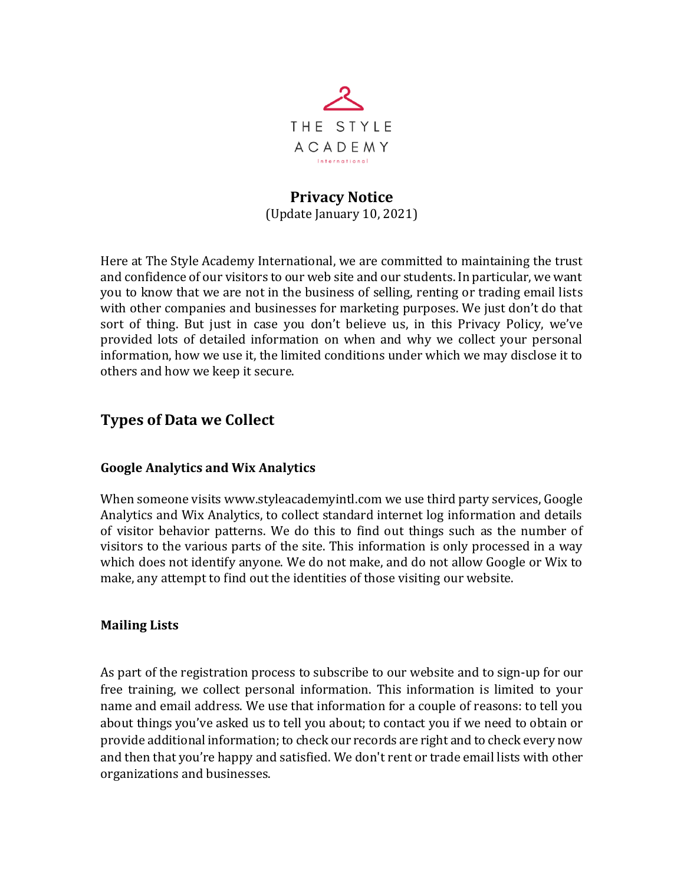

### **Privacy Notice** (Update January 10, 2021)

Here at The Style Academy International, we are committed to maintaining the trust and confidence of our visitors to our web site and our students. In particular, we want you to know that we are not in the business of selling, renting or trading email lists with other companies and businesses for marketing purposes. We just don't do that sort of thing. But just in case you don't believe us, in this Privacy Policy, we've provided lots of detailed information on when and why we collect your personal information, how we use it, the limited conditions under which we may disclose it to others and how we keep it secure.

# **Types of Data we Collect**

#### **Google Analytics and Wix Analytics**

When someone visits www.styleacademyintl.com we use third party services, Google Analytics and Wix Analytics, to collect standard internet log information and details of visitor behavior patterns. We do this to find out things such as the number of visitors to the various parts of the site. This information is only processed in a way which does not identify anyone. We do not make, and do not allow Google or Wix to make, any attempt to find out the identities of those visiting our website.

#### **Mailing Lists**

As part of the registration process to subscribe to our website and to sign-up for our free training, we collect personal information. This information is limited to your name and email address. We use that information for a couple of reasons: to tell you about things you've asked us to tell you about; to contact you if we need to obtain or provide additional information; to check our records are right and to check every now and then that you're happy and satisfied. We don't rent or trade email lists with other organizations and businesses.